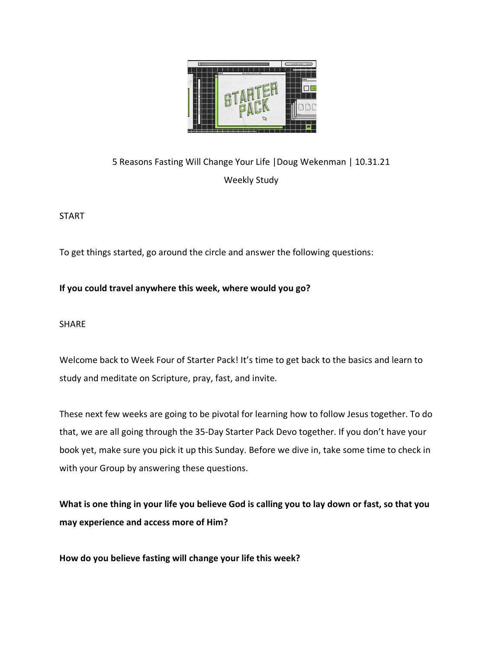

# 5 Reasons Fasting Will Change Your Life |Doug Wekenman | 10.31.21 Weekly Study

START

To get things started, go around the circle and answer the following questions:

### **If you could travel anywhere this week, where would you go?**

SHARE

Welcome back to Week Four of Starter Pack! It's time to get back to the basics and learn to study and meditate on Scripture, pray, fast, and invite.

These next few weeks are going to be pivotal for learning how to follow Jesus together. To do that, we are all going through the 35-Day Starter Pack Devo together. If you don't have your book yet, make sure you pick it up this Sunday. Before we dive in, take some time to check in with your Group by answering these questions.

**What is one thing in your life you believe God is calling you to lay down or fast, so that you may experience and access more of Him?**

**How do you believe fasting will change your life this week?**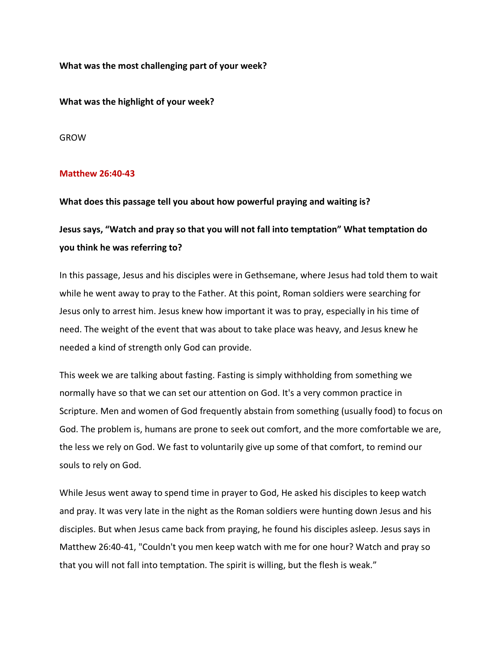**What was the most challenging part of your week?**

**What was the highlight of your week?** 

GROW

#### **Matthew 26:40-43**

**What does this passage tell you about how powerful praying and waiting is?**

## **Jesus says, "Watch and pray so that you will not fall into temptation" What temptation do you think he was referring to?**

In this passage, Jesus and his disciples were in Gethsemane, where Jesus had told them to wait while he went away to pray to the Father. At this point, Roman soldiers were searching for Jesus only to arrest him. Jesus knew how important it was to pray, especially in his time of need. The weight of the event that was about to take place was heavy, and Jesus knew he needed a kind of strength only God can provide.

This week we are talking about fasting. Fasting is simply withholding from something we normally have so that we can set our attention on God. It's a very common practice in Scripture. Men and women of God frequently abstain from something (usually food) to focus on God. The problem is, humans are prone to seek out comfort, and the more comfortable we are, the less we rely on God. We fast to voluntarily give up some of that comfort, to remind our souls to rely on God.

While Jesus went away to spend time in prayer to God, He asked his disciples to keep watch and pray. It was very late in the night as the Roman soldiers were hunting down Jesus and his disciples. But when Jesus came back from praying, he found his disciples asleep. Jesus says in Matthew 26:40-41, "Couldn't you men keep watch with me for one hour? Watch and pray so that you will not fall into temptation. The spirit is willing, but the flesh is weak."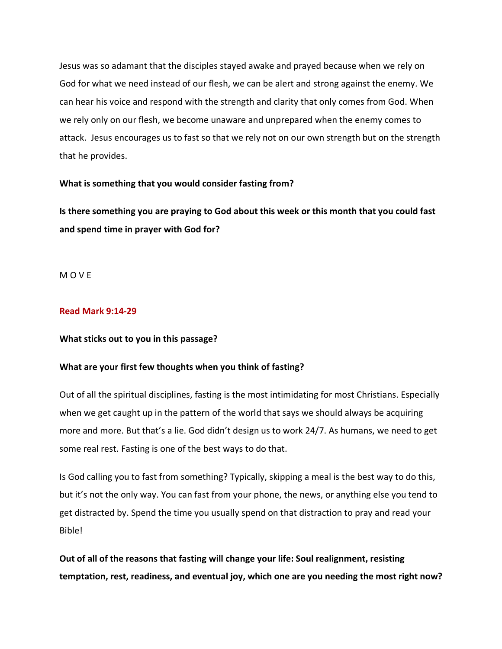Jesus was so adamant that the disciples stayed awake and prayed because when we rely on God for what we need instead of our flesh, we can be alert and strong against the enemy. We can hear his voice and respond with the strength and clarity that only comes from God. When we rely only on our flesh, we become unaware and unprepared when the enemy comes to attack. Jesus encourages us to fast so that we rely not on our own strength but on the strength that he provides.

#### **What is something that you would consider fasting from?**

**Is there something you are praying to God about this week or this month that you could fast and spend time in prayer with God for?**

M O V E

#### **Read Mark 9:14-29**

#### **What sticks out to you in this passage?**

#### **What are your first few thoughts when you think of fasting?**

Out of all the spiritual disciplines, fasting is the most intimidating for most Christians. Especially when we get caught up in the pattern of the world that says we should always be acquiring more and more. But that's a lie. God didn't design us to work 24/7. As humans, we need to get some real rest. Fasting is one of the best ways to do that.

Is God calling you to fast from something? Typically, skipping a meal is the best way to do this, but it's not the only way. You can fast from your phone, the news, or anything else you tend to get distracted by. Spend the time you usually spend on that distraction to pray and read your **Bible!** 

**Out of all of the reasons that fasting will change your life: Soul realignment, resisting temptation, rest, readiness, and eventual joy, which one are you needing the most right now?**